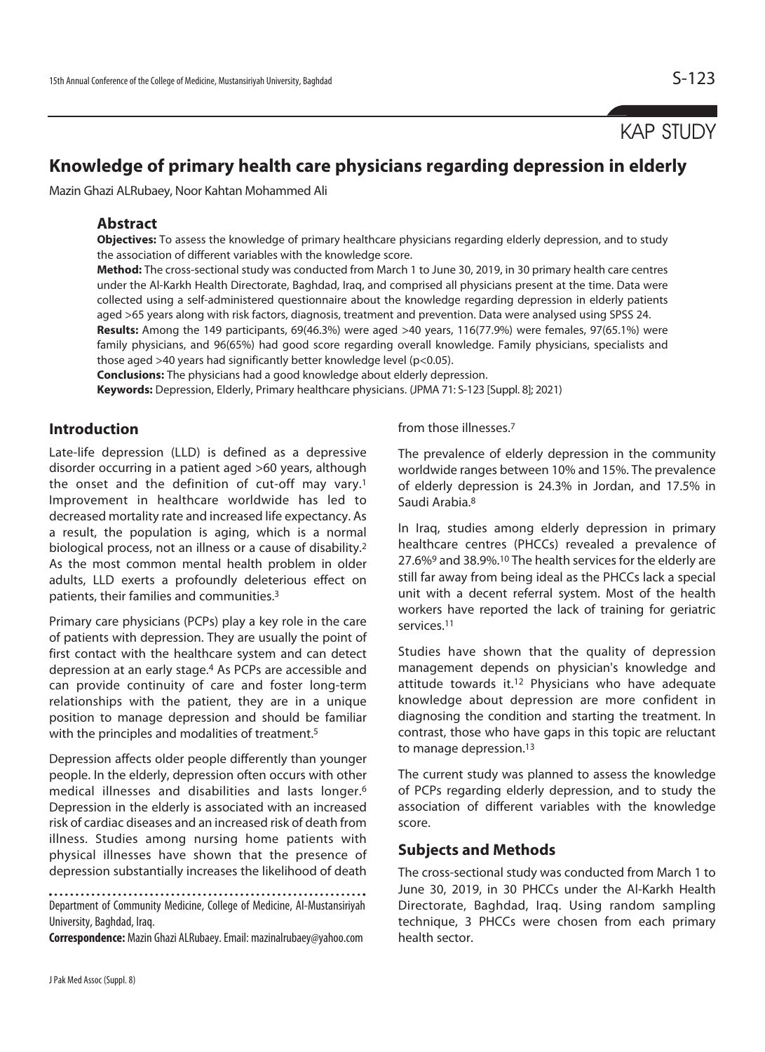# KAP STUDY

# **Knowledge of primary health care physicians regarding depression in elderly**

Mazin Ghazi ALRubaey, Noor Kahtan Mohammed Ali

#### **Abstract**

**Objectives:** To assess the knowledge of primary healthcare physicians regarding elderly depression, and to study the association of different variables with the knowledge score.

**Method:** The cross-sectional study was conducted from March 1 to June 30, 2019, in 30 primary health care centres under the Al-Karkh Health Directorate, Baghdad, Iraq, and comprised all physicians present at the time. Data were collected using a self-administered questionnaire about the knowledge regarding depression in elderly patients aged >65 years along with risk factors, diagnosis, treatment and prevention. Data were analysed using SPSS 24. **Results:** Among the 149 participants, 69(46.3%) were aged >40 years, 116(77.9%) were females, 97(65.1%) were family physicians, and 96(65%) had good score regarding overall knowledge. Family physicians, specialists and those aged >40 years had significantly better knowledge level (p<0.05).

**Conclusions:** The physicians had a good knowledge about elderly depression.

**Keywords:** Depression, Elderly, Primary healthcare physicians. (JPMA 71: S-123 [Suppl. 8]; 2021)

# **Introduction**

Late-life depression (LLD) is defined as a depressive disorder occurring in a patient aged >60 years, although the onset and the definition of cut-off may vary.1 Improvement in healthcare worldwide has led to decreased mortality rate and increased life expectancy. As a result, the population is aging, which is a normal biological process, not an illness or a cause of disability.2 As the most common mental health problem in older adults, LLD exerts a profoundly deleterious effect on patients, their families and communities.3

Primary care physicians (PCPs) play a key role in the care of patients with depression. They are usually the point of first contact with the healthcare system and can detect depression at an early stage.4 As PCPs are accessible and can provide continuity of care and foster long-term relationships with the patient, they are in a unique position to manage depression and should be familiar with the principles and modalities of treatment.<sup>5</sup>

Depression affects older people differently than younger people. In the elderly, depression often occurs with other medical illnesses and disabilities and lasts longer.6 Depression in the elderly is associated with an increased risk of cardiac diseases and an increased risk of death from illness. Studies among nursing home patients with physical illnesses have shown that the presence of depression substantially increases the likelihood of death

Department of Community Medicine, College of Medicine, Al-Mustansiriyah University, Baghdad, Iraq.

**Correspondence:** Mazin Ghazi ALRubaey. Email: mazinalrubaey@yahoo.com

#### from those illnesses 7

The prevalence of elderly depression in the community worldwide ranges between 10% and 15%. The prevalence of elderly depression is 24.3% in Jordan, and 17.5% in Saudi Arabia.8

In Iraq, studies among elderly depression in primary healthcare centres (PHCCs) revealed a prevalence of 27.6%9 and 38.9%.10 The health services for the elderly are still far away from being ideal as the PHCCs lack a special unit with a decent referral system. Most of the health workers have reported the lack of training for geriatric services.11

Studies have shown that the quality of depression management depends on physician's knowledge and attitude towards it.12 Physicians who have adequate knowledge about depression are more confident in diagnosing the condition and starting the treatment. In contrast, those who have gaps in this topic are reluctant to manage depression.13

The current study was planned to assess the knowledge of PCPs regarding elderly depression, and to study the association of different variables with the knowledge score.

## **Subjects and Methods**

The cross-sectional study was conducted from March 1 to June 30, 2019, in 30 PHCCs under the Al-Karkh Health Directorate, Baghdad, Iraq. Using random sampling technique, 3 PHCCs were chosen from each primary health sector.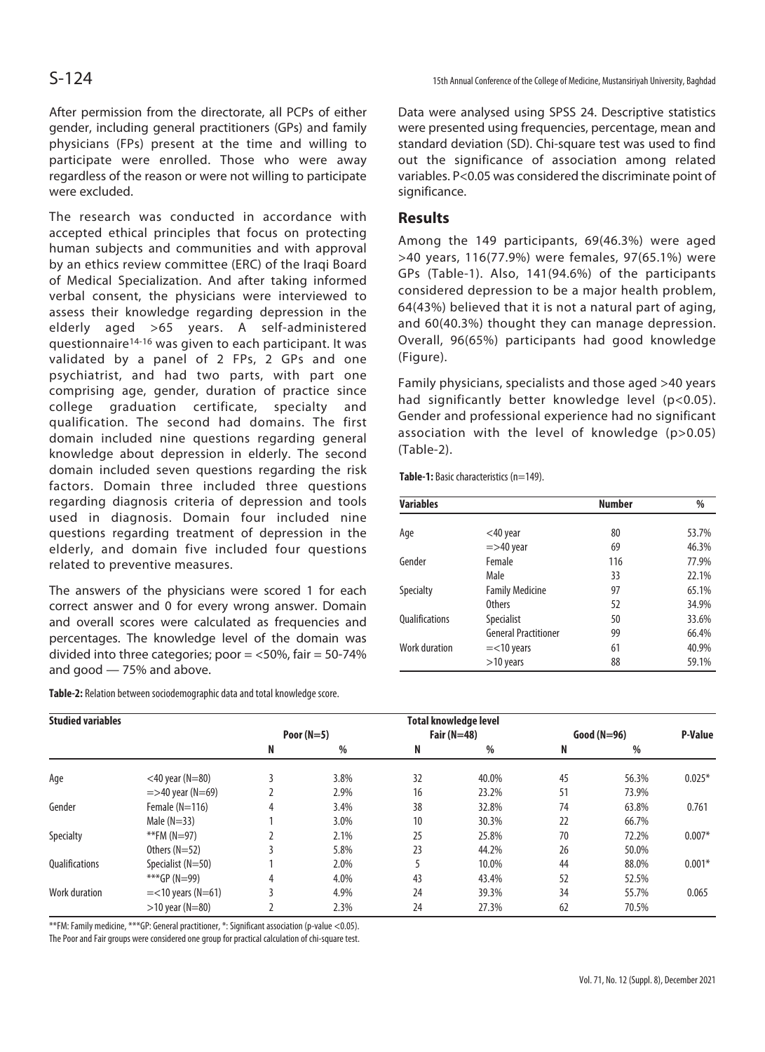After permission from the directorate, all PCPs of either gender, including general practitioners (GPs) and family physicians (FPs) present at the time and willing to participate were enrolled. Those who were away regardless of the reason or were not willing to participate were excluded.

The research was conducted in accordance with accepted ethical principles that focus on protecting human subjects and communities and with approval by an ethics review committee (ERC) of the Iraqi Board of Medical Specialization. And after taking informed verbal consent, the physicians were interviewed to assess their knowledge regarding depression in the elderly aged >65 years. A self-administered questionnaire14-16 was given to each participant. It was validated by a panel of 2 FPs, 2 GPs and one psychiatrist, and had two parts, with part one comprising age, gender, duration of practice since college graduation certificate, specialty and qualification. The second had domains. The first domain included nine questions regarding general knowledge about depression in elderly. The second domain included seven questions regarding the risk factors. Domain three included three questions regarding diagnosis criteria of depression and tools used in diagnosis. Domain four included nine questions regarding treatment of depression in the elderly, and domain five included four questions related to preventive measures.

The answers of the physicians were scored 1 for each correct answer and 0 for every wrong answer. Domain and overall scores were calculated as frequencies and percentages. The knowledge level of the domain was divided into three categories; poor  $=$  <50%, fair  $=$  50-74% and good — 75% and above.

S-124 15th Annual Conference of the College of Medicine, Mustansiriyah University, Baghdad

Data were analysed using SPSS 24. Descriptive statistics were presented using frequencies, percentage, mean and standard deviation (SD). Chi-square test was used to find out the significance of association among related variables. P<0.05 was considered the discriminate point of significance.

# **Results**

Among the 149 participants, 69(46.3%) were aged >40 years, 116(77.9%) were females, 97(65.1%) were GPs (Table-1). Also, 141(94.6%) of the participants considered depression to be a major health problem, 64(43%) believed that it is not a natural part of aging, and 60(40.3%) thought they can manage depression. Overall, 96(65%) participants had good knowledge (Figure).

Family physicians, specialists and those aged >40 years had significantly better knowledge level (p<0.05). Gender and professional experience had no significant association with the level of knowledge (p>0.05) (Table-2).

Table-1: Basic characteristics (n=149).

| <b>Variables</b>      |                             | <b>Number</b> | %     |  |
|-----------------------|-----------------------------|---------------|-------|--|
| Age                   | $<$ 40 year                 | 80            | 53.7% |  |
|                       | $=$ >40 year                | 69            | 46.3% |  |
| Gender                | Female                      | 116           | 77.9% |  |
|                       | Male                        | 33            | 22.1% |  |
| <b>Specialty</b>      | <b>Family Medicine</b>      | 97            | 65.1% |  |
|                       | <b>Others</b>               | 52            | 34.9% |  |
| <b>Oualifications</b> | Specialist                  | 50            | 33.6% |  |
|                       | <b>General Practitioner</b> | 99            | 66.4% |  |
| Work duration         | $=<$ 10 years               | 61            | 40.9% |  |
|                       | $>10$ years                 | 88            | 59.1% |  |

**Table-2:** Relation between sociodemographic data and total knowledge score.

| <b>Studied variables</b> |                      | <b>Total knowledge level</b> |      |               |       |               |       |                |
|--------------------------|----------------------|------------------------------|------|---------------|-------|---------------|-------|----------------|
|                          |                      | Poor $(N=5)$                 |      | Fair $(N=48)$ |       | $Good (N=96)$ |       | <b>P-Value</b> |
|                          |                      | N                            | %    | N             | %     | N             | %     |                |
| Age                      | $<$ 40 year (N=80)   |                              | 3.8% | 32            | 40.0% | 45            | 56.3% | $0.025*$       |
|                          | $=$ >40 year (N=69)  |                              | 2.9% | 16            | 23.2% | 51            | 73.9% |                |
| Gender                   | Female $(N=116)$     | 4                            | 3.4% | 38            | 32.8% | 74            | 63.8% | 0.761          |
|                          | Male $(N=33)$        |                              | 3.0% | 10            | 30.3% | 22            | 66.7% |                |
| Specialty                | **FM (N=97)          |                              | 2.1% | 25            | 25.8% | 70            | 72.2% | $0.007*$       |
|                          | Others $(N=52)$      |                              | 5.8% | 23            | 44.2% | 26            | 50.0% |                |
| <b>Oualifications</b>    | Specialist (N=50)    |                              | 2.0% |               | 10.0% | 44            | 88.0% | $0.001*$       |
|                          | ***GP (N=99)         | 4                            | 4.0% | 43            | 43.4% | 52            | 52.5% |                |
| Work duration            | $=<$ 10 years (N=61) |                              | 4.9% | 24            | 39.3% | 34            | 55.7% | 0.065          |
|                          | $>10$ year (N=80)    |                              | 2.3% | 24            | 27.3% | 62            | 70.5% |                |

\*\*FM: Family medicine, \*\*\*GP: General practitioner, \*: Significant association (p-value <0.05).

The Poor and Fair groups were considered one group for practical calculation of chi-square test.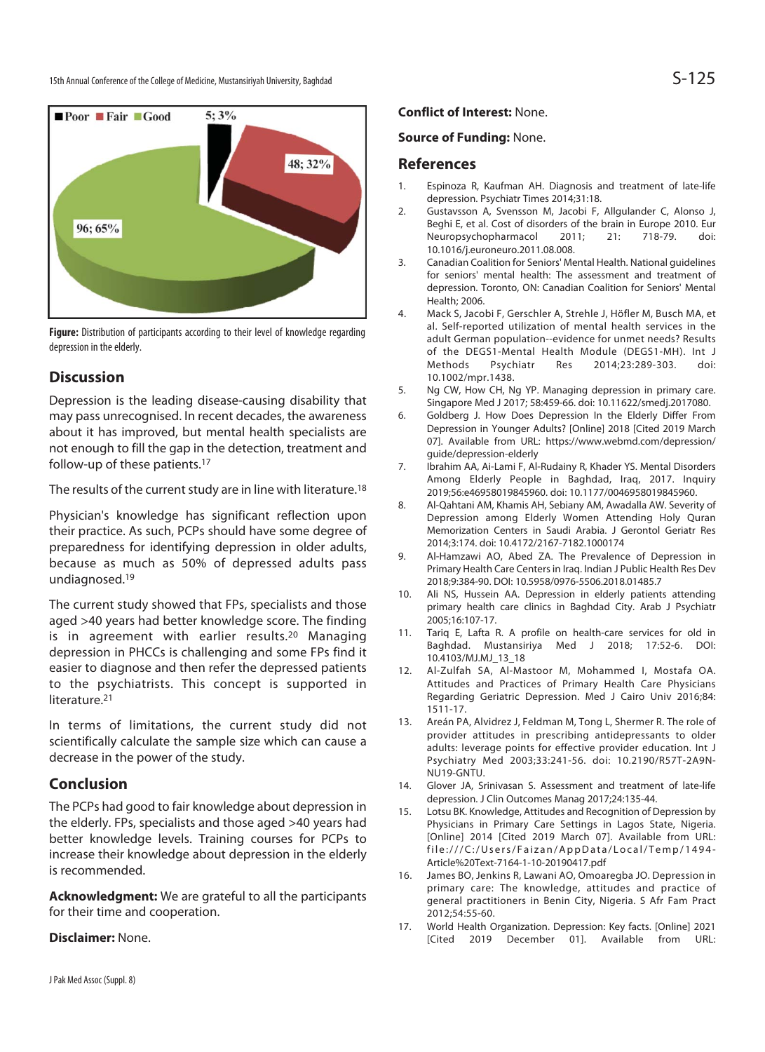

**Figure:** Distribution of participants according to their level of knowledge regarding depression in the elderly.

# **Discussion**

Depression is the leading disease-causing disability that may pass unrecognised. In recent decades, the awareness about it has improved, but mental health specialists are not enough to fill the gap in the detection, treatment and follow-up of these patients.17

The results of the current study are in line with literature.<sup>18</sup>

Physician's knowledge has significant reflection upon their practice. As such, PCPs should have some degree of preparedness for identifying depression in older adults, because as much as 50% of depressed adults pass undiagnosed.19

The current study showed that FPs, specialists and those aged >40 years had better knowledge score. The finding is in agreement with earlier results.20 Managing depression in PHCCs is challenging and some FPs find it easier to diagnose and then refer the depressed patients to the psychiatrists. This concept is supported in literature.<sup>21</sup>

In terms of limitations, the current study did not scientifically calculate the sample size which can cause a decrease in the power of the study.

# **Conclusion**

The PCPs had good to fair knowledge about depression in the elderly. FPs, specialists and those aged >40 years had better knowledge levels. Training courses for PCPs to increase their knowledge about depression in the elderly is recommended.

**Acknowledgment:** We are grateful to all the participants for their time and cooperation.

#### **Disclaimer:** None.

**Conflict of Interest:** None.

#### **Source of Funding:** None.

### **References**

- 1. Espinoza R, Kaufman AH. Diagnosis and treatment of late-life depression. Psychiatr Times 2014;31:18.
- 2. Gustavsson A, Svensson M, Jacobi F, Allgulander C, Alonso J, Beghi E, et al. Cost of disorders of the brain in Europe 2010. Eur<br>Neuropsychopharmacol 2011; 21: 718-79. doi: Neuropsychopharmacol 2011; 21: 718-79. doi: 10.1016/j.euroneuro.2011.08.008.
- 3. Canadian Coalition for Seniors' Mental Health. National guidelines for seniors' mental health: The assessment and treatment of depression. Toronto, ON: Canadian Coalition for Seniors' Mental Health; 2006.
- 4. Mack S, Jacobi F, Gerschler A, Strehle J, Höfler M, Busch MA, et al. Self-reported utilization of mental health services in the adult German population--evidence for unmet needs? Results of the DEGS1-Mental Health Module (DEGS1-MH). Int J Methods Psychiatr Res 2014;23:289-303. doi: 10.1002/mpr.1438.
- 5. Ng CW, How CH, Ng YP. Managing depression in primary care. Singapore Med J 2017; 58:459-66. doi: 10.11622/smedj.2017080.
- 6. Goldberg J. How Does Depression In the Elderly Differ From Depression in Younger Adults? [Online] 2018 [Cited 2019 March 07]. Available from URL: https://www.webmd.com/depression/ guide/depression-elderly
- 7. Ibrahim AA, Ai-Lami F, Al-Rudainy R, Khader YS. Mental Disorders Among Elderly People in Baghdad, Iraq, 2017. Inquiry 2019;56:e46958019845960. doi: 10.1177/0046958019845960.
- 8. Al-Qahtani AM, Khamis AH, Sebiany AM, Awadalla AW. Severity of Depression among Elderly Women Attending Holy Quran Memorization Centers in Saudi Arabia. J Gerontol Geriatr Res 2014;3:174. doi: 10.4172/2167-7182.1000174
- 9. Al-Hamzawi AO, Abed ZA. The Prevalence of Depression in Primary Health Care Centers in Iraq. Indian J Public Health Res Dev 2018;9:384-90. DOI: 10.5958/0976-5506.2018.01485.7
- 10. Ali NS, Hussein AA. Depression in elderly patients attending primary health care clinics in Baghdad City. Arab J Psychiatr 2005;16:107-17.
- 11. Tariq E, Lafta R. A profile on health-care services for old in Baghdad. Mustansiriya Med J 2018; 17:52-6. DOI: 10.4103/MJ.MJ\_13\_18
- 12. Al-Zulfah SA, Al-Mastoor M, Mohammed I, Mostafa OA. Attitudes and Practices of Primary Health Care Physicians Regarding Geriatric Depression. Med J Cairo Univ 2016;84: 1511-17.
- 13. Areán PA, Alvidrez J, Feldman M, Tong L, Shermer R. The role of provider attitudes in prescribing antidepressants to older adults: leverage points for effective provider education. Int J Psychiatry Med 2003;33:241-56. doi: 10.2190/R57T-2A9N-NU19-GNTU.
- 14. Glover JA, Srinivasan S. Assessment and treatment of late-life depression. J Clin Outcomes Manag 2017;24:135-44.
- 15. Lotsu BK. Knowledge, Attitudes and Recognition of Depression by Physicians in Primary Care Settings in Lagos State, Nigeria. [Online] 2014 [Cited 2019 March 07]. Available from URL: file:///C:/Users/Faizan/AppData/Local/Temp/1494- Article%20Text-7164-1-10-20190417.pdf
- 16. James BO, Jenkins R, Lawani AO, Omoaregba JO. Depression in primary care: The knowledge, attitudes and practice of general practitioners in Benin City, Nigeria. S Afr Fam Pract 2012;54:55-60.
- 17. World Health Organization. Depression: Key facts. [Online] 2021 [Cited 2019 December 01]. Available from URL: